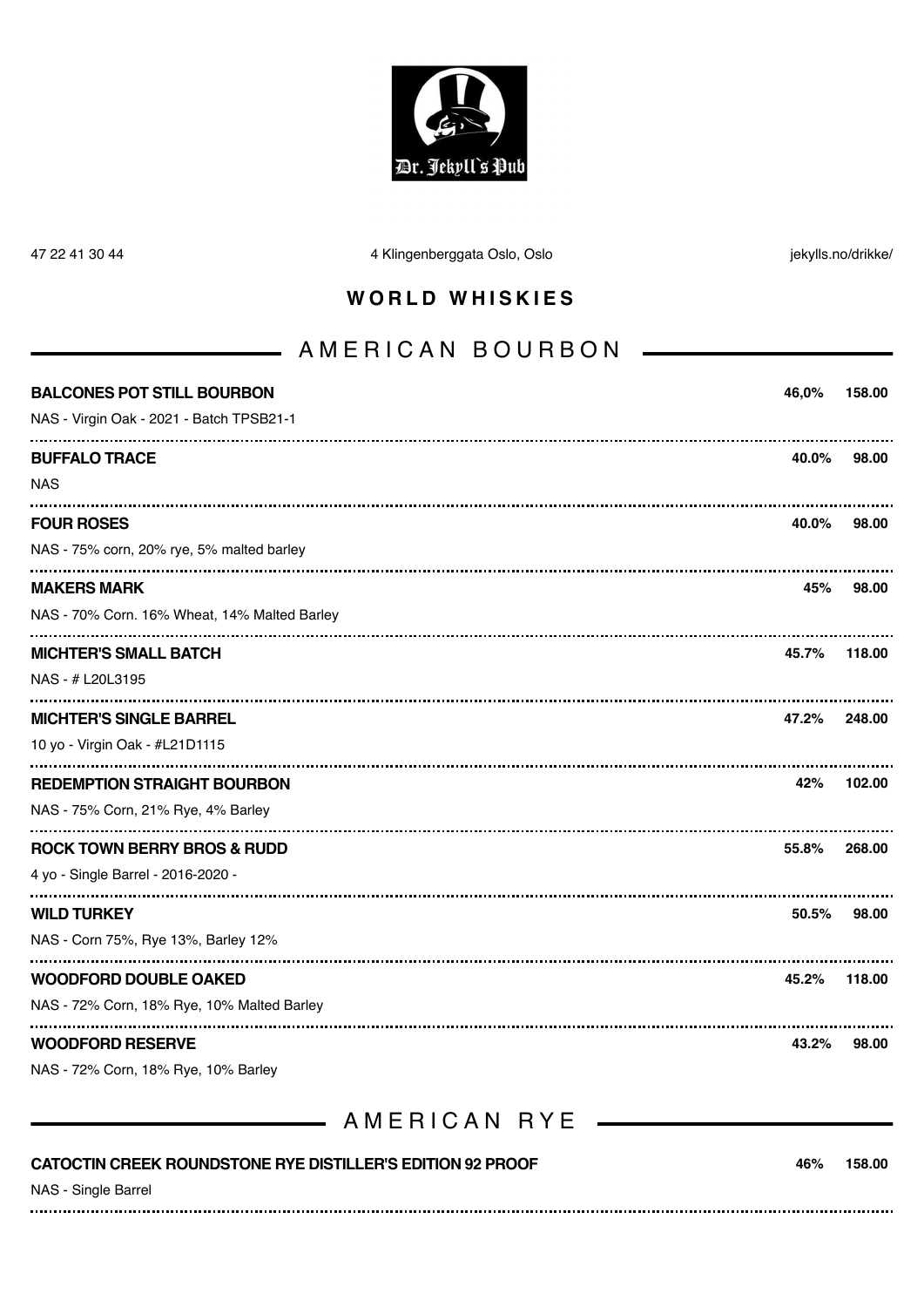

47 22 41 30 44 4 Klingenberggata Oslo, Oslo jekylls.no/drikke/

#### **WORLD WHISKIES**

# AMERICAN BOURBON

| <b>BALCONES POT STILL BOURBON</b>                                                 | 46,0%    | 158.00 |
|-----------------------------------------------------------------------------------|----------|--------|
| NAS - Virgin Oak - 2021 - Batch TPSB21-1                                          |          |        |
| <b>BUFFALO TRACE</b>                                                              | 40.0%    | 98.00  |
| <b>NAS</b>                                                                        |          |        |
| <b>FOUR ROSES</b>                                                                 | 40.0%    | 98.00  |
| NAS - 75% corn, 20% rye, 5% malted barley                                         |          |        |
| <b>MAKERS MARK</b>                                                                | 45%      | 98.00  |
| NAS - 70% Corn. 16% Wheat, 14% Malted Barley                                      |          |        |
| <b>MICHTER'S SMALL BATCH</b>                                                      | 45.7%    | 118.00 |
| NAS - # L20L3195                                                                  |          |        |
| <b>MICHTER'S SINGLE BARREL</b>                                                    | 47.2%    | 248.00 |
| 10 yo - Virgin Oak - #L21D1115                                                    |          |        |
| <b>REDEMPTION STRAIGHT BOURBON</b>                                                | 42%      | 102.00 |
| NAS - 75% Corn, 21% Rye, 4% Barley                                                |          |        |
| <b>ROCK TOWN BERRY BROS &amp; RUDD</b>                                            | 55.8%    | 268.00 |
| 4 yo - Single Barrel - 2016-2020 -                                                |          |        |
| <b>WILD TURKEY</b>                                                                | $50.5\%$ | 98.00  |
| NAS - Corn 75%, Rye 13%, Barley 12%                                               |          |        |
| <b>WOODFORD DOUBLE OAKED</b>                                                      | 45.2%    | 118.00 |
| NAS - 72% Corn, 18% Rye, 10% Malted Barley                                        |          |        |
| <b>WOODFORD RESERVE</b>                                                           | 43.2%    | 98.00  |
| NAS - 72% Corn, 18% Rye, 10% Barley                                               |          |        |
| AMERICAN RYE                                                                      |          |        |
| CATOCTIN CREEK ROUNDSTONE RYE DISTILLER'S EDITION 92 PROOF<br>NAS - Single Barrel | 46%      | 158.00 |
|                                                                                   |          |        |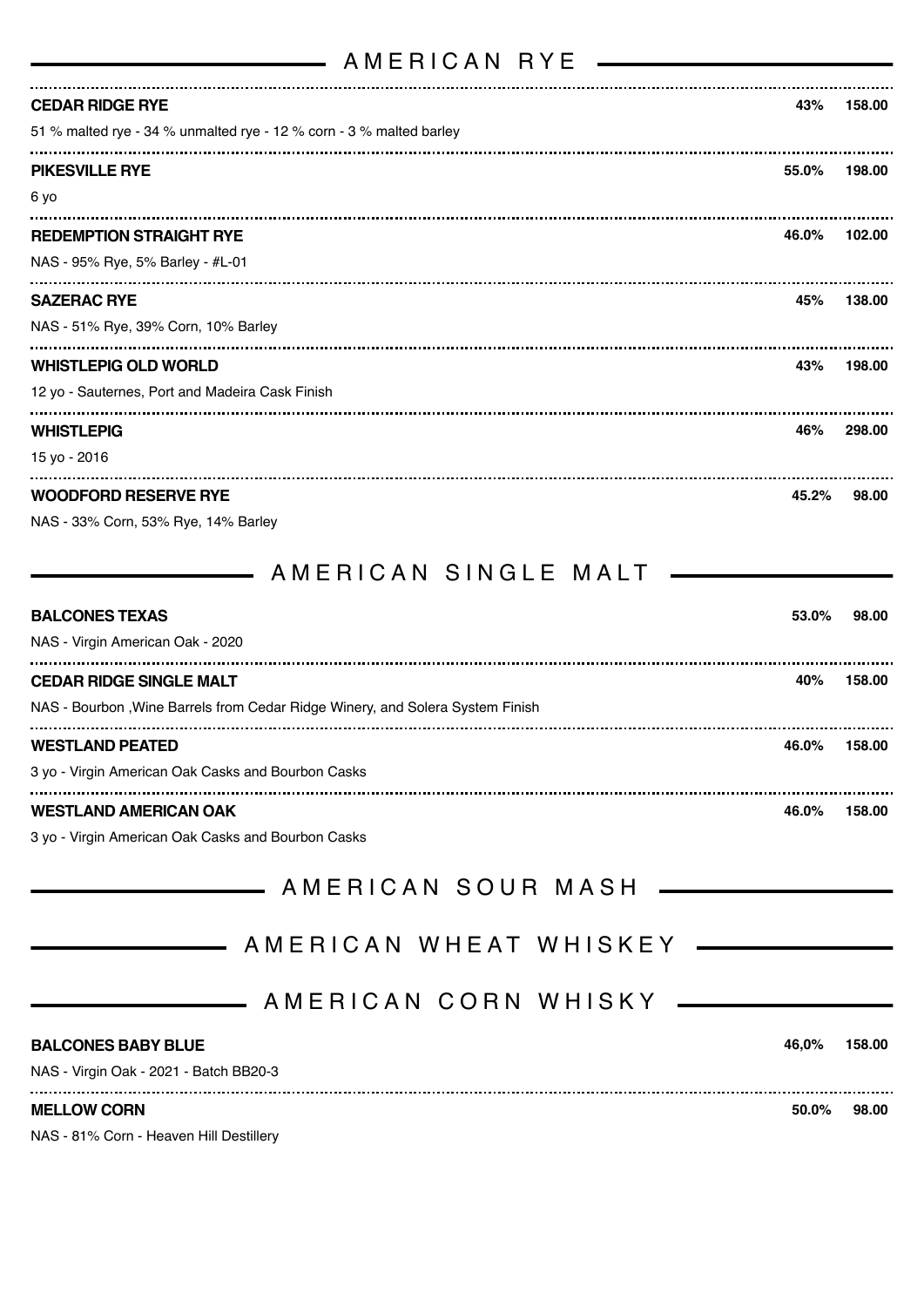## AMERICAN RYE

<u> The Communication of the Communication</u>

| <b>CEDAR RIDGE RYE</b>                                              | 43%   | 158.00 |
|---------------------------------------------------------------------|-------|--------|
| 51 % malted rye - 34 % unmalted rye - 12 % corn - 3 % malted barley |       |        |
| <b>PIKESVILLE RYE</b>                                               | 55.0% | 198.00 |
| 6 yo                                                                |       |        |
| <b>REDEMPTION STRAIGHT RYE</b>                                      | 46.0% | 102.00 |
| NAS - 95% Rye, 5% Barley - #L-01                                    |       |        |
| <b>SAZERAC RYE</b>                                                  | 45%   | 138.00 |
| NAS - 51% Rye, 39% Corn, 10% Barley                                 |       |        |
| <b>WHISTLEPIG OLD WORLD</b>                                         | 43%   | 198.00 |
| 12 yo - Sauternes, Port and Madeira Cask Finish                     |       |        |
| <b>WHISTLEPIG</b>                                                   | 46%   | 298.00 |
| 15 yo - 2016                                                        |       |        |
| <b>WOODFORD RESERVE RYE</b>                                         | 45.2% | 98.00  |
| NAS - 33% Corn, 53% Rye, 14% Barley                                 |       |        |

AMERICAN SINGLE MALT

| <b>BALCONES TEXAS</b>                                                         | 53.0% | 98.00  |
|-------------------------------------------------------------------------------|-------|--------|
| NAS - Virgin American Oak - 2020                                              |       |        |
| <b>CEDAR RIDGE SINGLE MALT</b>                                                | 40%   | 158.00 |
| NAS - Bourbon, Wine Barrels from Cedar Ridge Winery, and Solera System Finish |       |        |
| <b>WESTLAND PEATED</b>                                                        | 46.0% | 158.00 |
| 3 yo - Virgin American Oak Casks and Bourbon Casks                            |       |        |
| <b>WESTLAND AMERICAN OAK</b>                                                  | 46.0% | 158.00 |

3 yo - Virgin American Oak Casks and Bourbon Casks

| <b>MELLOW CORN</b>                     | $50.0\%$ | 98.00  |
|----------------------------------------|----------|--------|
| NAS - Virgin Oak - 2021 - Batch BB20-3 |          |        |
| <b>BALCONES BABY BLUE</b>              | 46.0%    | 158.00 |
|                                        |          |        |
|                                        |          |        |
|                                        |          |        |
| _______ AMERICAN SOUR MASH ____        |          |        |

NAS - 81% Corn - Heaven Hill Destillery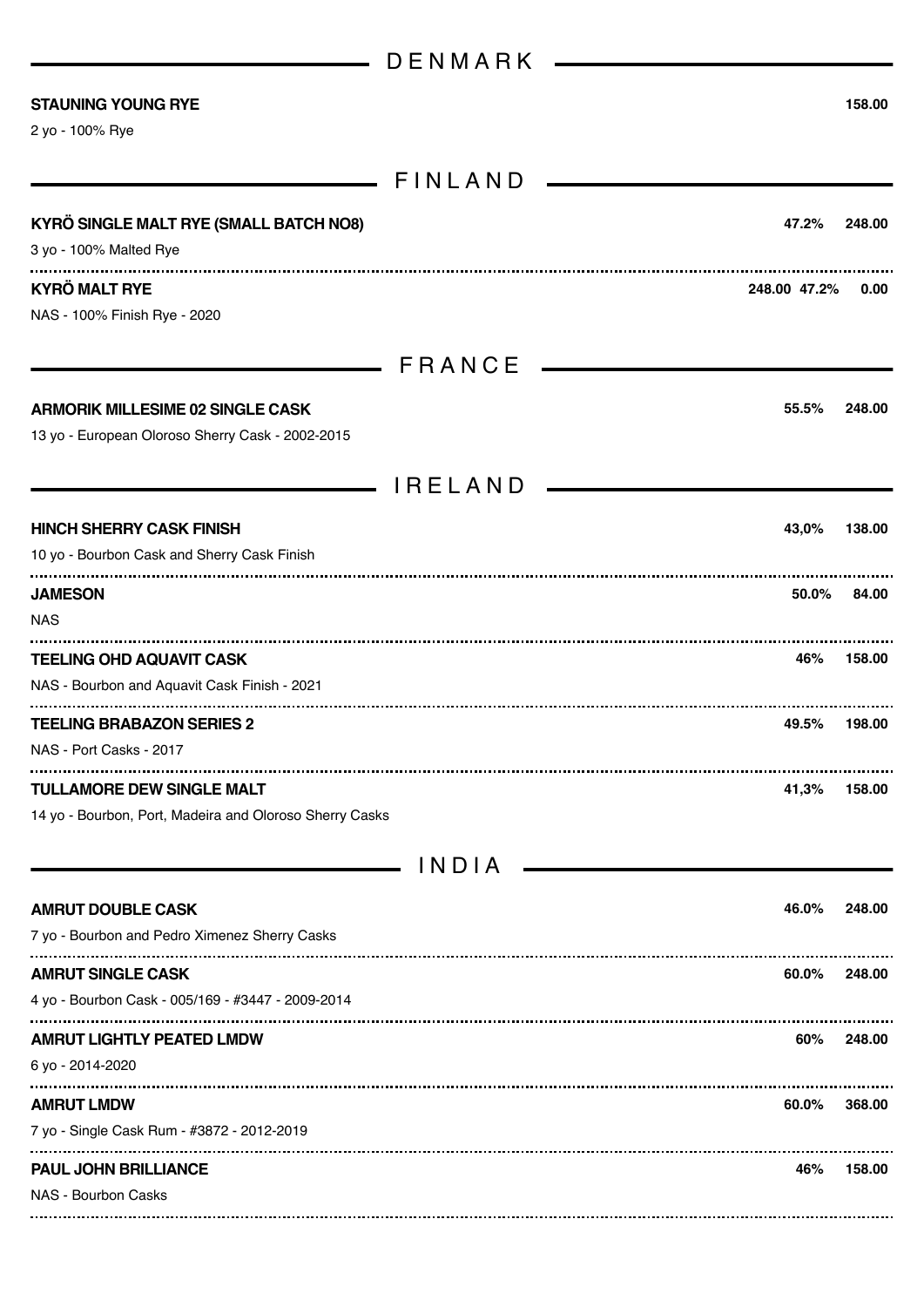|                                                                                             | D E N M A R K  |              |        |
|---------------------------------------------------------------------------------------------|----------------|--------------|--------|
| <b>STAUNING YOUNG RYE</b><br>2 yo - 100% Rye                                                |                |              | 158.00 |
|                                                                                             | FINLAND        |              |        |
| KYRÖ SINGLE MALT RYE (SMALL BATCH NO8)<br>3 yo - 100% Malted Rye                            |                | 47.2%        | 248.00 |
| <b>KYRÖ MALT RYE</b><br>NAS - 100% Finish Rye - 2020                                        |                | 248.00 47.2% | 0.00   |
|                                                                                             | ERANCE         |              |        |
| <b>ARMORIK MILLESIME 02 SINGLE CASK</b><br>13 yo - European Oloroso Sherry Cask - 2002-2015 |                | 55.5%        | 248.00 |
|                                                                                             | <b>IRELAND</b> |              |        |
| <b>HINCH SHERRY CASK FINISH</b><br>10 yo - Bourbon Cask and Sherry Cask Finish              |                | 43,0%        | 138.00 |
| <b>JAMESON</b><br><b>NAS</b>                                                                |                | 50.0%        | 84.00  |
| <b>TEELING OHD AQUAVIT CASK</b><br>NAS - Bourbon and Aquavit Cask Finish - 2021             |                | 46%          | 158.00 |
| <b>TEELING BRABAZON SERIES 2</b><br>NAS - Port Casks - 2017                                 |                | 49.5%        | 198.00 |
| <b>TULLAMORE DEW SINGLE MALT</b><br>14 yo - Bourbon, Port, Madeira and Oloroso Sherry Casks |                | 41,3%        | 158.00 |
| and the company of the company                                                              | INDIA          |              |        |
| <b>AMRUT DOUBLE CASK</b><br>7 yo - Bourbon and Pedro Ximenez Sherry Casks                   |                | 46.0%        | 248.00 |
| <b>AMRUT SINGLE CASK</b><br>4 yo - Bourbon Cask - 005/169 - #3447 - 2009-2014               |                | 60.0%        | 248.00 |
| <b>AMRUT LIGHTLY PEATED LMDW</b><br>6 yo - 2014-2020                                        |                | 60%          | 248.00 |
| <b>AMRUT LMDW</b><br>7 yo - Single Cask Rum - #3872 - 2012-2019                             |                | 60.0%        | 368.00 |
| <b>PAUL JOHN BRILLIANCE</b><br>NAS - Bourbon Casks                                          |                | 46%          | 158.00 |
|                                                                                             |                |              |        |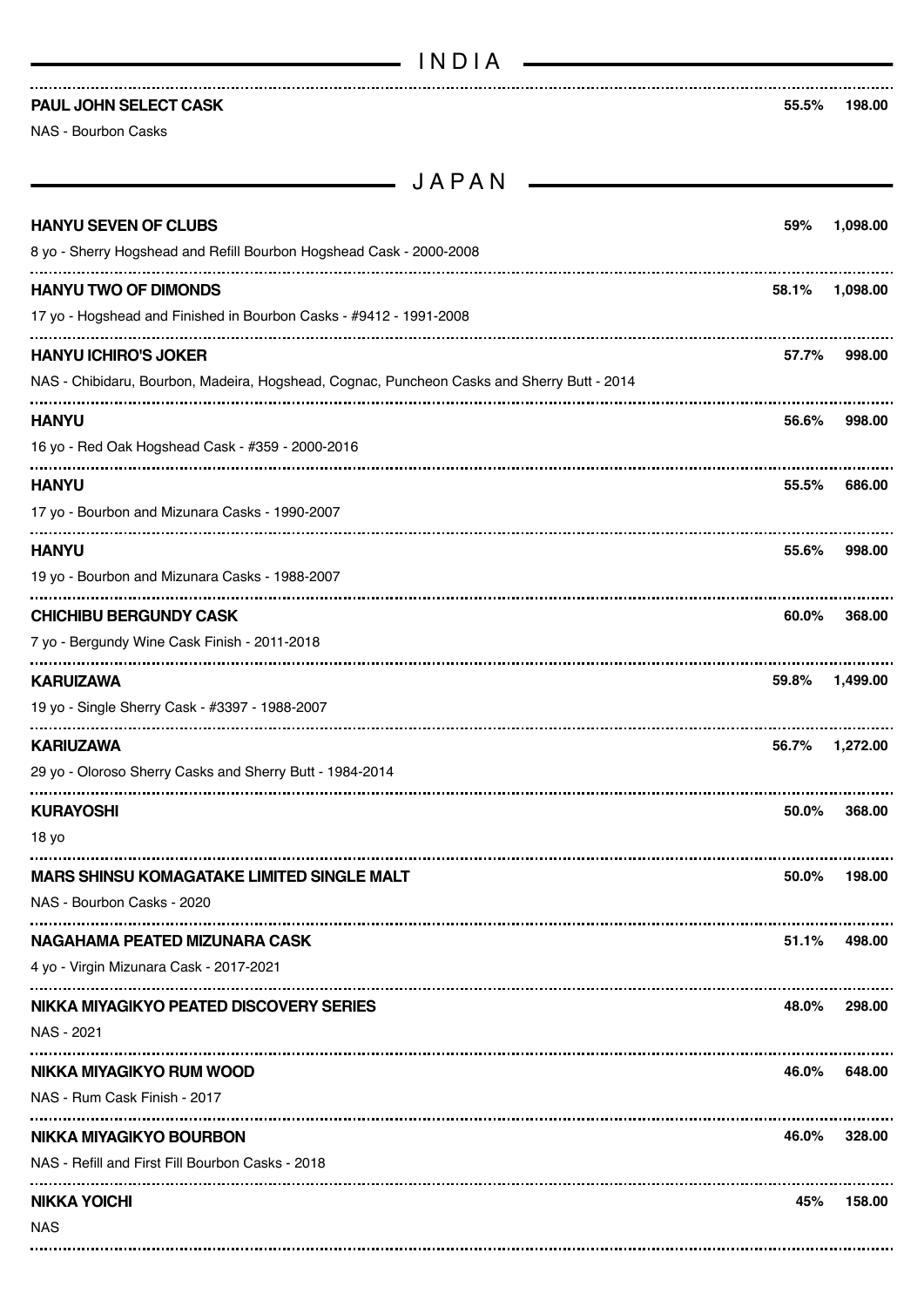| INDIA |  |  |
|-------|--|--|
|-------|--|--|

**PAUL JOHN SELECT CASK 55.5% 198.00**

NAS - Bourbon Casks

 $JAPAN$   $\longrightarrow$ 

| <b>HANYU SEVEN OF CLUBS</b><br>8 yo - Sherry Hogshead and Refill Bourbon Hogshead Cask - 2000-2008                        | 59%   | 1,098.00 |
|---------------------------------------------------------------------------------------------------------------------------|-------|----------|
| <b>HANYU TWO OF DIMONDS</b><br>17 yo - Hogshead and Finished in Bourbon Casks - #9412 - 1991-2008                         | 58.1% | 1,098.00 |
| <b>HANYU ICHIRO'S JOKER</b><br>NAS - Chibidaru, Bourbon, Madeira, Hogshead, Cognac, Puncheon Casks and Sherry Butt - 2014 | 57.7% | 998.00   |
| <b>HANYU</b><br>16 yo - Red Oak Hogshead Cask - #359 - 2000-2016                                                          | 56.6% | 998.00   |
| <b>HANYU</b><br>17 yo - Bourbon and Mizunara Casks - 1990-2007                                                            | 55.5% | 686.00   |
| <b>HANYU</b><br>19 yo - Bourbon and Mizunara Casks - 1988-2007                                                            | 55.6% | 998.00   |
| <b>CHICHIBU BERGUNDY CASK</b><br>7 yo - Bergundy Wine Cask Finish - 2011-2018                                             | 60.0% | 368,00   |
| <b>KARUIZAWA</b><br>19 yo - Single Sherry Cask - #3397 - 1988-2007                                                        | 59.8% | 1,499.00 |
|                                                                                                                           |       |          |
| <b>KARIUZAWA</b><br>29 yo - Oloroso Sherry Casks and Sherry Butt - 1984-2014                                              | 56.7% | 1,272.00 |
| <b>KURAYOSHI</b><br>18 yo                                                                                                 | 50.0% | 368,00   |
| <b>MARS SHINSU KOMAGATAKE LIMITED SINGLE MALT</b><br>NAS - Bourbon Casks - 2020                                           | 50.0% | 198.00   |
| NAGAHAMA PEATED MIZUNARA CASK<br>4 yo - Virgin Mizunara Cask - 2017-2021                                                  | 51.1% | 498.00   |
| NIKKA MIYAGIKYO PEATED DISCOVERY SERIES<br>NAS - 2021                                                                     | 48.0% | 298.00   |
| NIKKA MIYAGIKYO RUM WOOD<br>NAS - Rum Cask Finish - 2017                                                                  | 46.0% | 648.00   |
| NIKKA MIYAGIKYO BOURBON<br>NAS - Refill and First Fill Bourbon Casks - 2018                                               | 46.0% | 328.00   |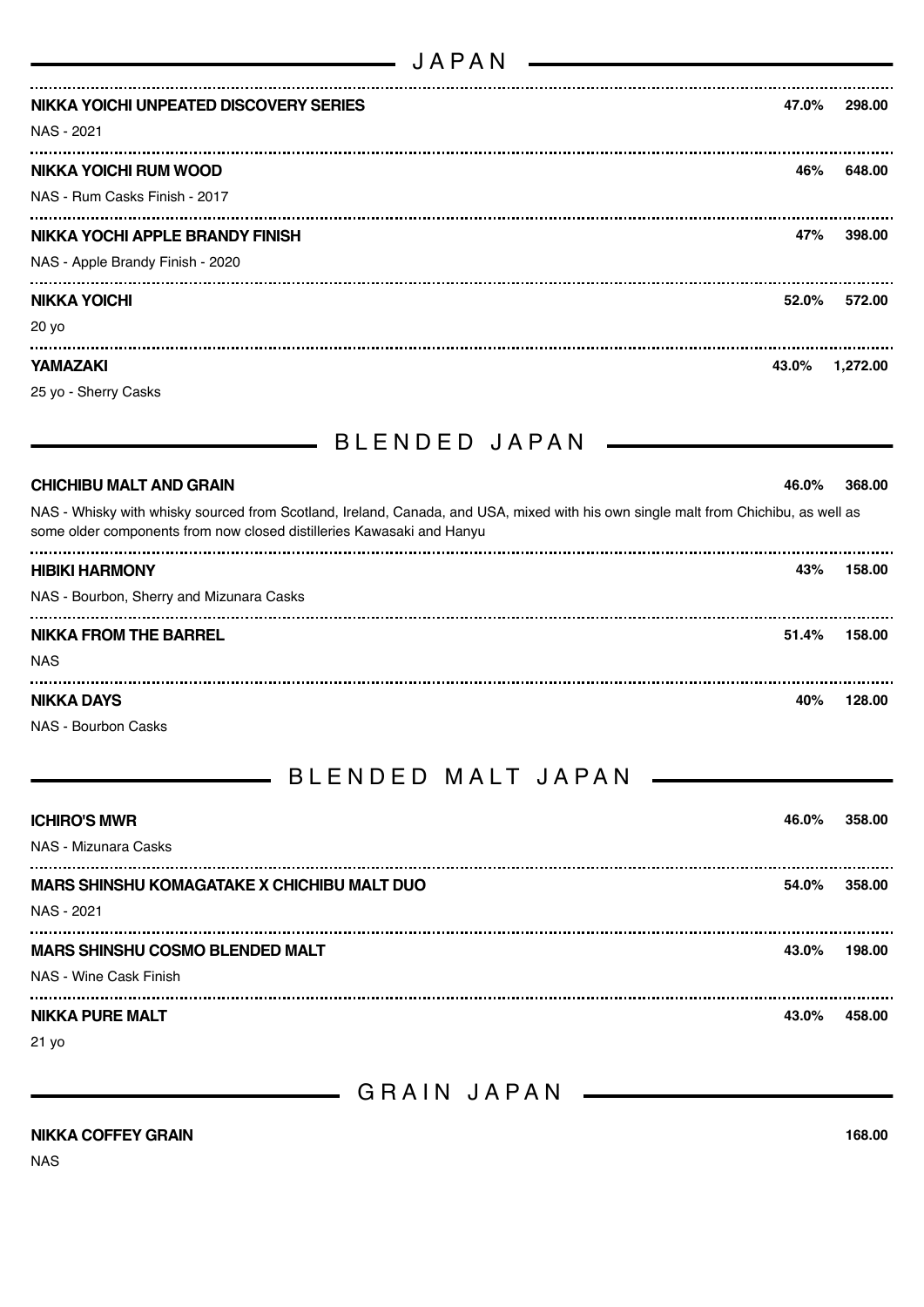| JAPAN                                  |       |          |
|----------------------------------------|-------|----------|
| NIKKA YOICHI UNPEATED DISCOVERY SERIES | 47.0% | 298.00   |
| NAS - 2021                             |       |          |
| <b>NIKKA YOICHI RUM WOOD</b>           | 46%   | 648.00   |
| NAS - Rum Casks Finish - 2017          |       |          |
| NIKKA YOCHI APPLE BRANDY FINISH        | 47%   | 398.00   |
| NAS - Apple Brandy Finish - 2020       |       |          |
| <b>NIKKA YOICHI</b>                    | 52.0% | 572.00   |
| 20 yo                                  |       |          |
| <b>YAMAZAKI</b>                        | 43.0% | 1,272.00 |
| 25 yo - Sherry Casks                   |       |          |

| - BLENDED JAPAN                                                                                                                                                                                             |          |        |
|-------------------------------------------------------------------------------------------------------------------------------------------------------------------------------------------------------------|----------|--------|
| <b>CHICHIBU MALT AND GRAIN</b>                                                                                                                                                                              | 46.0%    | 368.00 |
| NAS - Whisky with whisky sourced from Scotland, Ireland, Canada, and USA, mixed with his own single malt from Chichibu, as well as<br>some older components from now closed distilleries Kawasaki and Hanyu |          |        |
| <b>HIBIKI HARMONY</b>                                                                                                                                                                                       | 43%      | 158.00 |
| NAS - Bourbon, Sherry and Mizunara Casks                                                                                                                                                                    |          |        |
| <b>NIKKA FROM THE BARREL</b>                                                                                                                                                                                | $51.4\%$ | 158.00 |
| <b>NAS</b>                                                                                                                                                                                                  |          |        |
| <b>NIKKA DAYS</b>                                                                                                                                                                                           | 40%      | 128.00 |

NAS - Bourbon Casks

## BLENDED MALT JAPAN

| <b>ICHIRO'S MWR</b>                                | 46.0% | 358.00 |
|----------------------------------------------------|-------|--------|
| NAS - Mizunara Casks                               |       |        |
| <b>MARS SHINSHU KOMAGATAKE X CHICHIBU MALT DUO</b> | 54.0% | 358.00 |
| NAS - 2021                                         |       |        |
| <b>MARS SHINSHU COSMO BLENDED MALT</b>             | 43.0% | 198.00 |
| NAS - Wine Cask Finish                             |       |        |
| <b>NIKKA PURE MALT</b>                             | 43.0% | 458.00 |

21 yo

GRAIN JAPAN